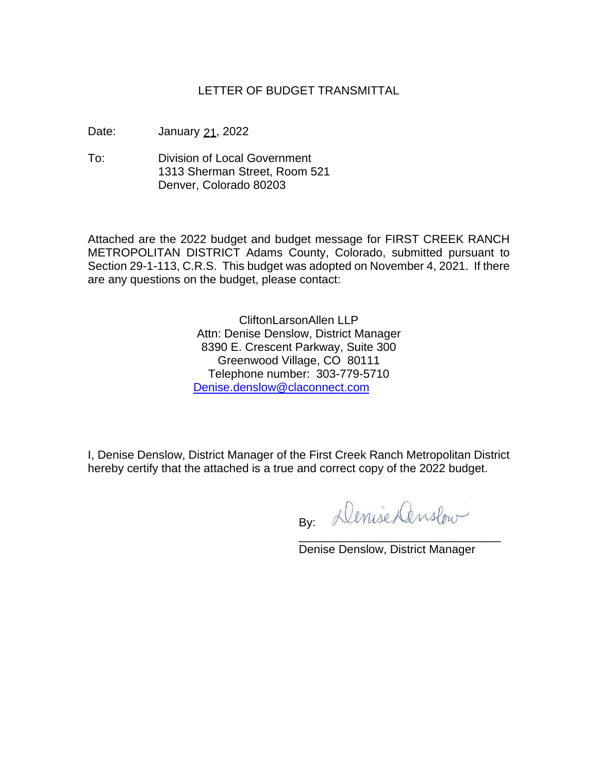## LETTER OF BUDGET TRANSMITTAL

Date: January 21, 2022

To: Division of Local Government 1313 Sherman Street, Room 521 Denver, Colorado 80203

Attached are the 2022 budget and budget message for FIRST CREEK RANCH METROPOLITAN DISTRICT Adams County, Colorado, submitted pursuant to Section 29-1-113, C.R.S. This budget was adopted on November 4, 2021. If there are any questions on the budget, please contact:

> CliftonLarsonAllen LLP Attn: Denise Denslow, District Manager 8390 E. Crescent Parkway, Suite 300 Greenwood Village, CO 80111 Telephone number: 303-779-5710 [Denise.denslow@claconnect.com](mailto:Denise.denslow@claconnect.com)

I, Denise Denslow, District Manager of the First Creek Ranch Metropolitan District hereby certify that the attached is a true and correct copy of the 2022 budget.

By: Denise Censlow

Denise Denslow, District Manager

\_\_\_\_\_\_\_\_\_\_\_\_\_\_\_\_\_\_\_\_\_\_\_\_\_\_\_\_\_\_\_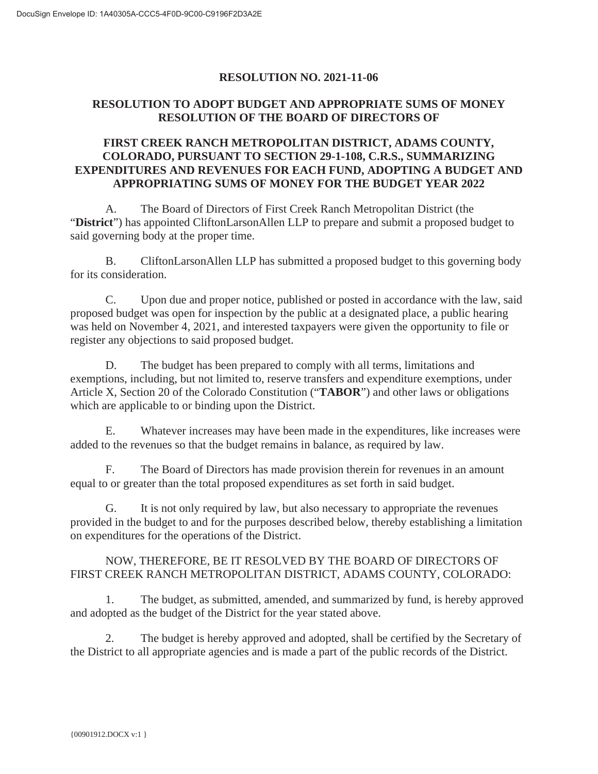### **RESOLUTION NO. 2021-11-06**

## **RESOLUTION TO ADOPT BUDGET AND APPROPRIATE SUMS OF MONEY RESOLUTION OF THE BOARD OF DIRECTORS OF**

## **FIRST CREEK RANCH METROPOLITAN DISTRICT, ADAMS COUNTY, COLORADO, PURSUANT TO SECTION 29-1-108, C.R.S., SUMMARIZING EXPENDITURES AND REVENUES FOR EACH FUND, ADOPTING A BUDGET AND APPROPRIATING SUMS OF MONEY FOR THE BUDGET YEAR 2022**

A. The Board of Directors of First Creek Ranch Metropolitan District (the "**District**") has appointed CliftonLarsonAllen LLP to prepare and submit a proposed budget to said governing body at the proper time.

B. CliftonLarsonAllen LLP has submitted a proposed budget to this governing body for its consideration.

C. Upon due and proper notice, published or posted in accordance with the law, said proposed budget was open for inspection by the public at a designated place, a public hearing was held on November 4, 2021, and interested taxpayers were given the opportunity to file or register any objections to said proposed budget.

D. The budget has been prepared to comply with all terms, limitations and exemptions, including, but not limited to, reserve transfers and expenditure exemptions, under Article X, Section 20 of the Colorado Constitution ("**TABOR**") and other laws or obligations which are applicable to or binding upon the District.

E. Whatever increases may have been made in the expenditures, like increases were added to the revenues so that the budget remains in balance, as required by law.

F. The Board of Directors has made provision therein for revenues in an amount equal to or greater than the total proposed expenditures as set forth in said budget.

G. It is not only required by law, but also necessary to appropriate the revenues provided in the budget to and for the purposes described below, thereby establishing a limitation on expenditures for the operations of the District.

## NOW, THEREFORE, BE IT RESOLVED BY THE BOARD OF DIRECTORS OF FIRST CREEK RANCH METROPOLITAN DISTRICT, ADAMS COUNTY, COLORADO:

1. The budget, as submitted, amended, and summarized by fund, is hereby approved and adopted as the budget of the District for the year stated above.

2. The budget is hereby approved and adopted, shall be certified by the Secretary of the District to all appropriate agencies and is made a part of the public records of the District.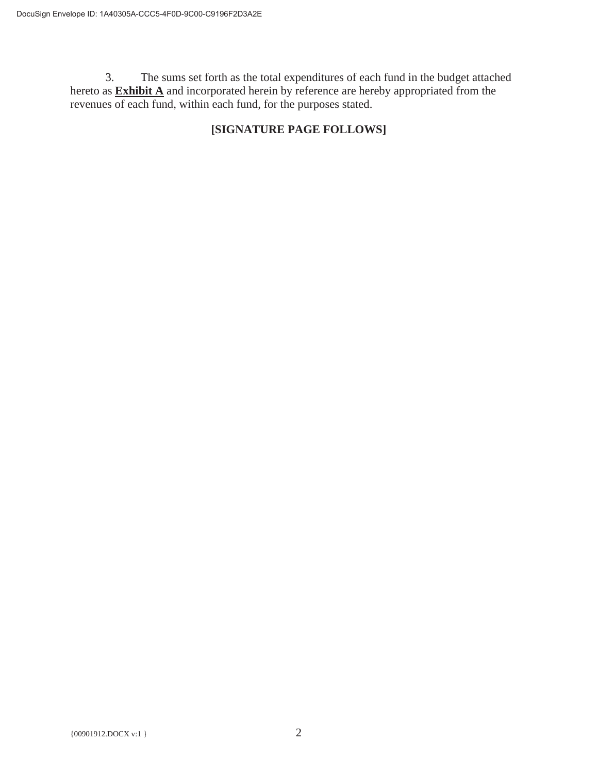3. The sums set forth as the total expenditures of each fund in the budget attached hereto as **Exhibit A** and incorporated herein by reference are hereby appropriated from the revenues of each fund, within each fund, for the purposes stated.

## **[SIGNATURE PAGE FOLLOWS]**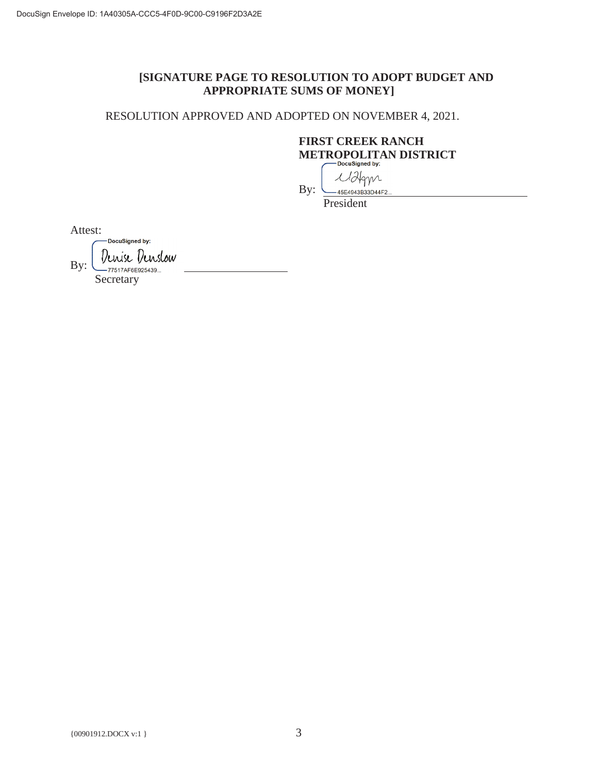## **[SIGNATURE PAGE TO RESOLUTION TO ADOPT BUDGET AND APPROPRIATE SUMS OF MONEY]**

RESOLUTION APPROVED AND ADOPTED ON NOVEMBER 4, 2021.

# **FIRST CREEK RANCH METROPOLITAN DISTRICT**

Malgyn By: .<br>45E4943B33D44F2

President

Attest:

DocuSigned by: Denise Denslow By: ,<br>--77517AF6E925439... Secretary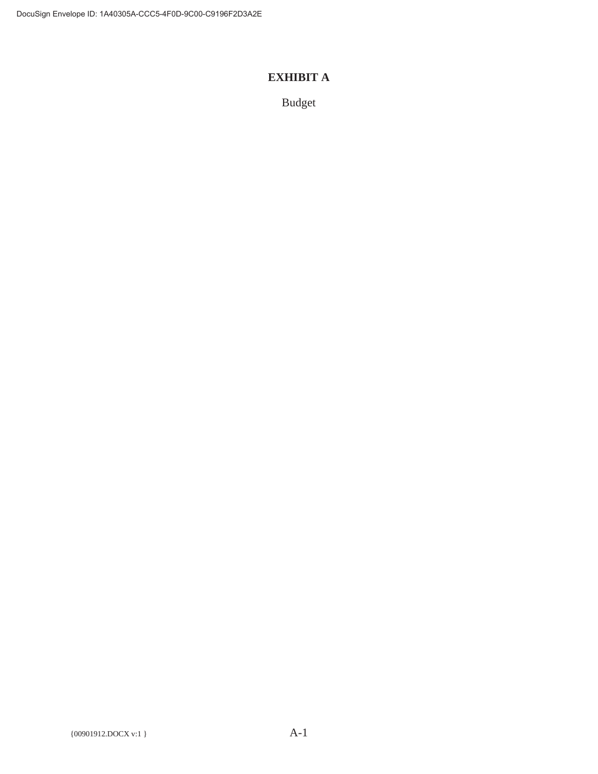## **EXHIBIT A**

Budget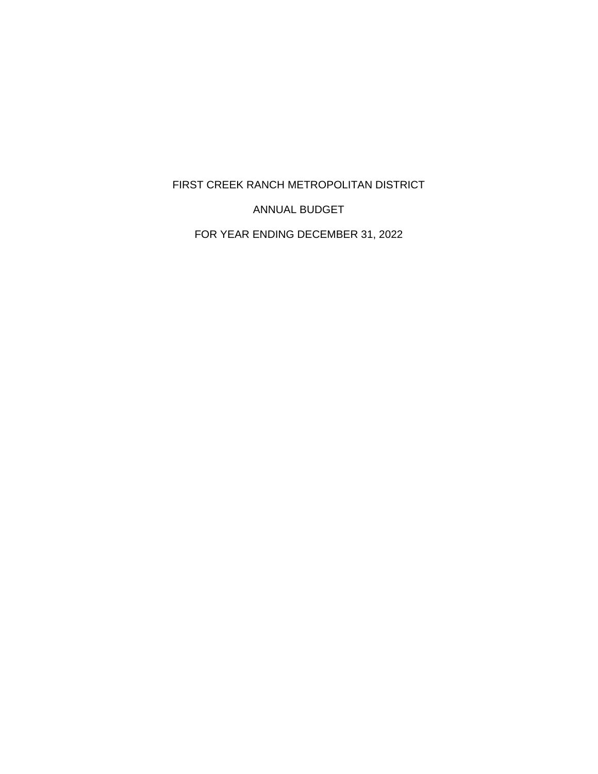FIRST CREEK RANCH METROPOLITAN DISTRICT

ANNUAL BUDGET

FOR YEAR ENDING DECEMBER 31, 2022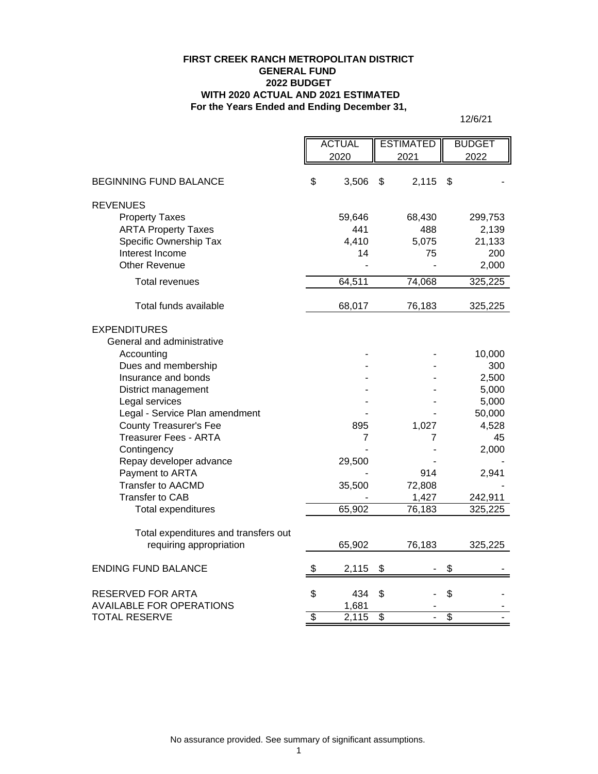#### **For the Years Ended and Ending December 31, FIRST CREEK RANCH METROPOLITAN DISTRICT GENERAL FUND 2022 BUDGET WITH 2020 ACTUAL AND 2021 ESTIMATED**

|                                      | <b>ACTUAL</b> |        | <b>ESTIMATED</b> |        | <b>BUDGET</b>   |         |
|--------------------------------------|---------------|--------|------------------|--------|-----------------|---------|
|                                      |               | 2020   |                  | 2021   |                 | 2022    |
| <b>BEGINNING FUND BALANCE</b>        | \$            | 3,506  | \$               | 2,115  | S               |         |
| <b>REVENUES</b>                      |               |        |                  |        |                 |         |
| <b>Property Taxes</b>                |               | 59,646 |                  | 68,430 |                 | 299,753 |
| <b>ARTA Property Taxes</b>           |               | 441    |                  | 488    |                 | 2,139   |
| Specific Ownership Tax               |               | 4,410  |                  | 5,075  |                 | 21,133  |
| Interest Income                      |               | 14     |                  | 75     |                 | 200     |
| <b>Other Revenue</b>                 |               |        |                  |        |                 | 2,000   |
| <b>Total revenues</b>                |               | 64,511 |                  | 74,068 |                 | 325,225 |
|                                      |               |        |                  |        |                 |         |
| Total funds available                |               | 68,017 |                  | 76,183 |                 | 325,225 |
| <b>EXPENDITURES</b>                  |               |        |                  |        |                 |         |
| General and administrative           |               |        |                  |        |                 |         |
| Accounting                           |               |        |                  |        |                 | 10,000  |
| Dues and membership                  |               |        |                  |        |                 | 300     |
| Insurance and bonds                  |               |        |                  |        |                 | 2,500   |
| District management                  |               |        |                  |        |                 | 5,000   |
| Legal services                       |               |        |                  |        |                 | 5,000   |
| Legal - Service Plan amendment       |               |        |                  |        |                 | 50,000  |
| <b>County Treasurer's Fee</b>        |               | 895    |                  | 1,027  |                 | 4,528   |
| <b>Treasurer Fees - ARTA</b>         |               | 7      |                  | 7      |                 | 45      |
| Contingency                          |               |        |                  |        |                 | 2,000   |
| Repay developer advance              |               | 29,500 |                  |        |                 |         |
| Payment to ARTA                      |               |        |                  | 914    |                 | 2,941   |
| <b>Transfer to AACMD</b>             |               | 35,500 |                  | 72,808 |                 |         |
| Transfer to CAB                      |               |        |                  | 1,427  |                 | 242,911 |
| Total expenditures                   |               | 65,902 |                  | 76,183 |                 | 325,225 |
| Total expenditures and transfers out |               |        |                  |        |                 |         |
| requiring appropriation              |               | 65,902 |                  |        |                 | 325,225 |
|                                      |               |        |                  | 76,183 |                 |         |
| <b>ENDING FUND BALANCE</b>           | \$            | 2,115  | \$               |        | \$              |         |
| RESERVED FOR ARTA                    | \$            | 434    | \$               |        | \$              |         |
| <b>AVAILABLE FOR OPERATIONS</b>      |               | 1,681  |                  |        |                 |         |
| <b>TOTAL RESERVE</b>                 | \$            | 2,115  | \$               | L.     | $\overline{\$}$ |         |
|                                      |               |        |                  |        |                 |         |

12/6/21

No assurance provided. See summary of significant assumptions.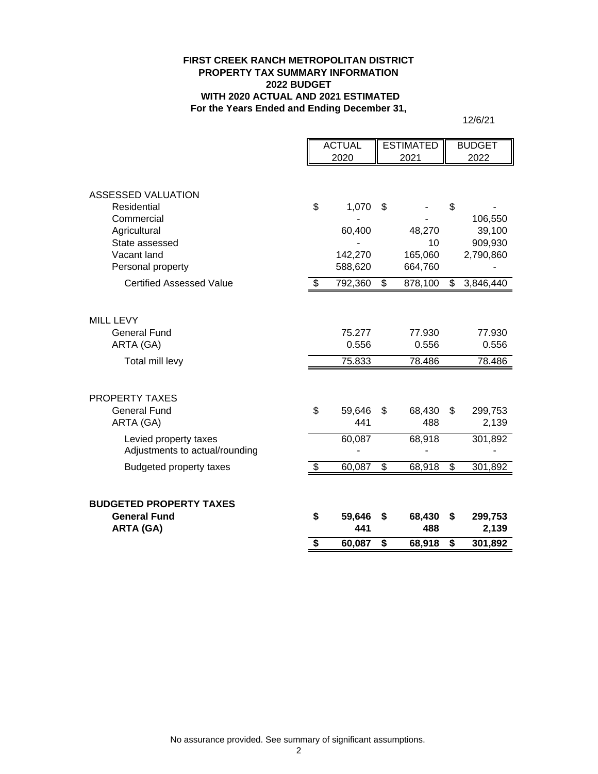#### **FIRST CREEK RANCH METROPOLITAN DISTRICT PROPERTY TAX SUMMARY INFORMATION 2022 BUDGET WITH 2020 ACTUAL AND 2021 ESTIMATED For the Years Ended and Ending December 31,**

12/6/21

|                                                                                                                                                        | <b>ACTUAL</b> |                                                  | <b>ESTIMATED</b>               |                                               |                                | <b>BUDGET</b>                                          |
|--------------------------------------------------------------------------------------------------------------------------------------------------------|---------------|--------------------------------------------------|--------------------------------|-----------------------------------------------|--------------------------------|--------------------------------------------------------|
|                                                                                                                                                        |               | 2020                                             |                                | 2021                                          |                                | 2022                                                   |
| <b>ASSESSED VALUATION</b>                                                                                                                              |               |                                                  |                                |                                               |                                |                                                        |
| Residential<br>Commercial<br>Agricultural<br>State assessed<br>Vacant land<br>Personal property<br><b>Certified Assessed Value</b>                     | \$<br>\$      | 1,070<br>60,400<br>142,270<br>588,620<br>792,360 | \$<br>\$                       | 48,270<br>10<br>165,060<br>664,760<br>878,100 | \$<br>\$                       | 106,550<br>39,100<br>909,930<br>2,790,860<br>3,846,440 |
| <b>MILL LEVY</b><br><b>General Fund</b><br>ARTA (GA)                                                                                                   |               | 75.277<br>0.556                                  |                                | 77.930<br>0.556                               |                                | 77.930<br>0.556                                        |
| Total mill levy                                                                                                                                        |               | 75.833                                           |                                | 78.486                                        |                                | 78.486                                                 |
| <b>PROPERTY TAXES</b><br><b>General Fund</b><br>ARTA (GA)<br>Levied property taxes<br>Adjustments to actual/rounding<br><b>Budgeted property taxes</b> | \$<br>\$      | 59,646<br>441<br>60,087<br>60,087                | \$<br>$\overline{\mathcal{G}}$ | 68,430<br>488<br>68,918<br>68,918             | \$<br>$\overline{\mathcal{S}}$ | 299,753<br>2,139<br>301,892<br>301,892                 |
| <b>BUDGETED PROPERTY TAXES</b><br><b>General Fund</b>                                                                                                  | \$            | 59,646                                           | \$                             | 68,430                                        | \$                             | 299,753                                                |
| <b>ARTA (GA)</b>                                                                                                                                       |               | 441                                              |                                | 488                                           |                                | 2,139                                                  |
|                                                                                                                                                        | \$            | 60,087                                           | \$                             | 68,918                                        | \$                             | 301,892                                                |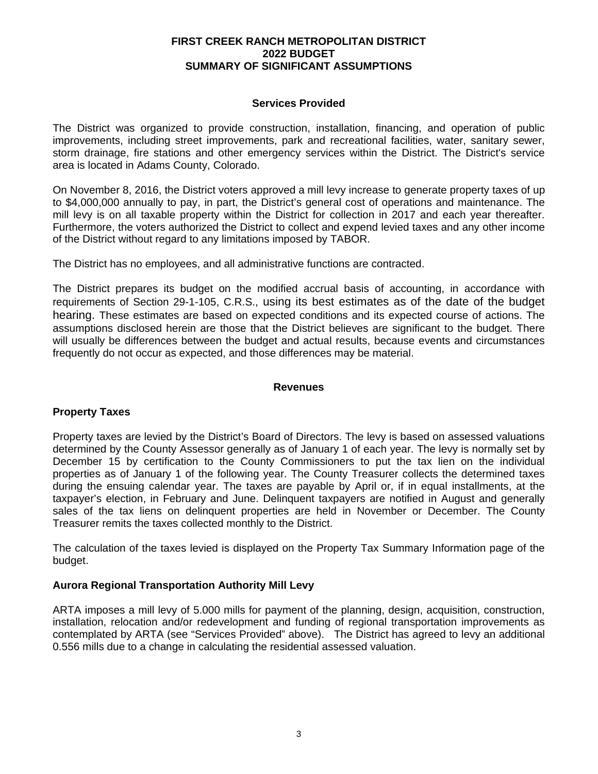#### **FIRST CREEK RANCH METROPOLITAN DISTRICT 2022 BUDGET SUMMARY OF SIGNIFICANT ASSUMPTIONS**

#### **Services Provided**

The District was organized to provide construction, installation, financing, and operation of public improvements, including street improvements, park and recreational facilities, water, sanitary sewer, storm drainage, fire stations and other emergency services within the District. The District's service area is located in Adams County, Colorado.

On November 8, 2016, the District voters approved a mill levy increase to generate property taxes of up to \$4,000,000 annually to pay, in part, the District's general cost of operations and maintenance. The mill levy is on all taxable property within the District for collection in 2017 and each year thereafter. Furthermore, the voters authorized the District to collect and expend levied taxes and any other income of the District without regard to any limitations imposed by TABOR.

The District has no employees, and all administrative functions are contracted.

The District prepares its budget on the modified accrual basis of accounting, in accordance with requirements of Section 29-1-105, C.R.S., using its best estimates as of the date of the budget hearing. These estimates are based on expected conditions and its expected course of actions. The assumptions disclosed herein are those that the District believes are significant to the budget. There will usually be differences between the budget and actual results, because events and circumstances frequently do not occur as expected, and those differences may be material.

#### **Revenues**

#### **Property Taxes**

Property taxes are levied by the District's Board of Directors. The levy is based on assessed valuations determined by the County Assessor generally as of January 1 of each year. The levy is normally set by December 15 by certification to the County Commissioners to put the tax lien on the individual properties as of January 1 of the following year. The County Treasurer collects the determined taxes during the ensuing calendar year. The taxes are payable by April or, if in equal installments, at the taxpayer's election, in February and June. Delinquent taxpayers are notified in August and generally sales of the tax liens on delinquent properties are held in November or December. The County Treasurer remits the taxes collected monthly to the District.

The calculation of the taxes levied is displayed on the Property Tax Summary Information page of the budget.

#### **Aurora Regional Transportation Authority Mill Levy**

ARTA imposes a mill levy of 5.000 mills for payment of the planning, design, acquisition, construction, installation, relocation and/or redevelopment and funding of regional transportation improvements as contemplated by ARTA (see "Services Provided" above). The District has agreed to levy an additional 0.556 mills due to a change in calculating the residential assessed valuation.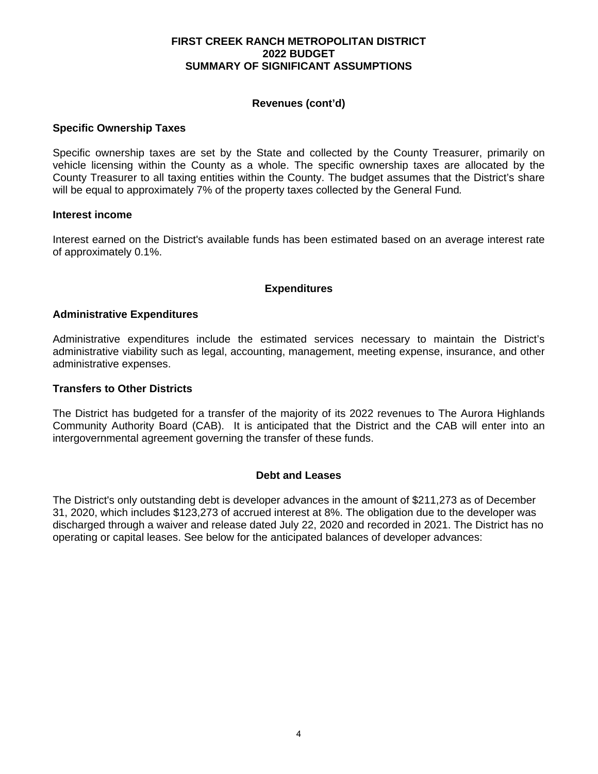#### **FIRST CREEK RANCH METROPOLITAN DISTRICT 2022 BUDGET SUMMARY OF SIGNIFICANT ASSUMPTIONS**

### **Revenues (cont'd)**

#### **Specific Ownership Taxes**

Specific ownership taxes are set by the State and collected by the County Treasurer, primarily on vehicle licensing within the County as a whole. The specific ownership taxes are allocated by the County Treasurer to all taxing entities within the County. The budget assumes that the District's share will be equal to approximately 7% of the property taxes collected by the General Fund*.* 

#### **Interest income**

Interest earned on the District's available funds has been estimated based on an average interest rate of approximately 0.1%.

#### **Expenditures**

#### **Administrative Expenditures**

Administrative expenditures include the estimated services necessary to maintain the District's administrative viability such as legal, accounting, management, meeting expense, insurance, and other administrative expenses.

#### **Transfers to Other Districts**

The District has budgeted for a transfer of the majority of its 2022 revenues to The Aurora Highlands Community Authority Board (CAB). It is anticipated that the District and the CAB will enter into an intergovernmental agreement governing the transfer of these funds.

#### **Debt and Leases**

The District's only outstanding debt is developer advances in the amount of \$211,273 as of December 31, 2020, which includes \$123,273 of accrued interest at 8%. The obligation due to the developer was discharged through a waiver and release dated July 22, 2020 and recorded in 2021. The District has no operating or capital leases. See below for the anticipated balances of developer advances: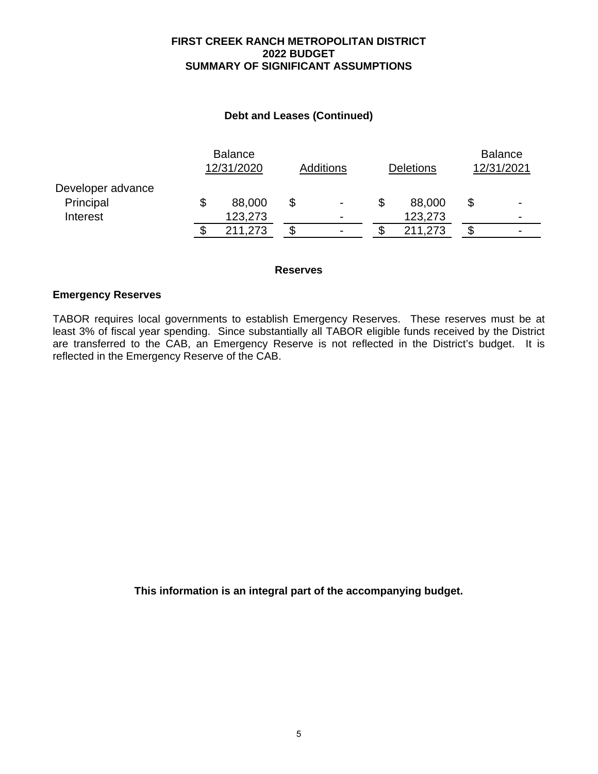#### **FIRST CREEK RANCH METROPOLITAN DISTRICT 2022 BUDGET SUMMARY OF SIGNIFICANT ASSUMPTIONS**

### **Debt and Leases (Continued)**

|                   | <b>Balance</b><br>12/31/2020 |         | <b>Additions</b> |   | Deletions |         | <b>Balance</b><br>12/31/2021 |                          |
|-------------------|------------------------------|---------|------------------|---|-----------|---------|------------------------------|--------------------------|
| Developer advance |                              |         |                  |   |           |         |                              |                          |
| Principal         |                              | 88,000  | \$               | ۰ | \$        | 88,000  | \$                           | $\overline{\phantom{0}}$ |
| Interest          |                              | 123,273 |                  | ۰ |           | 123,273 |                              | ۰                        |
|                   | c                            | 211,273 | c                | - |           | 211,273 | S                            | $\overline{\phantom{0}}$ |

#### **Reserves**

#### **Emergency Reserves**

TABOR requires local governments to establish Emergency Reserves. These reserves must be at least 3% of fiscal year spending. Since substantially all TABOR eligible funds received by the District are transferred to the CAB, an Emergency Reserve is not reflected in the District's budget. It is reflected in the Emergency Reserve of the CAB.

**This information is an integral part of the accompanying budget.**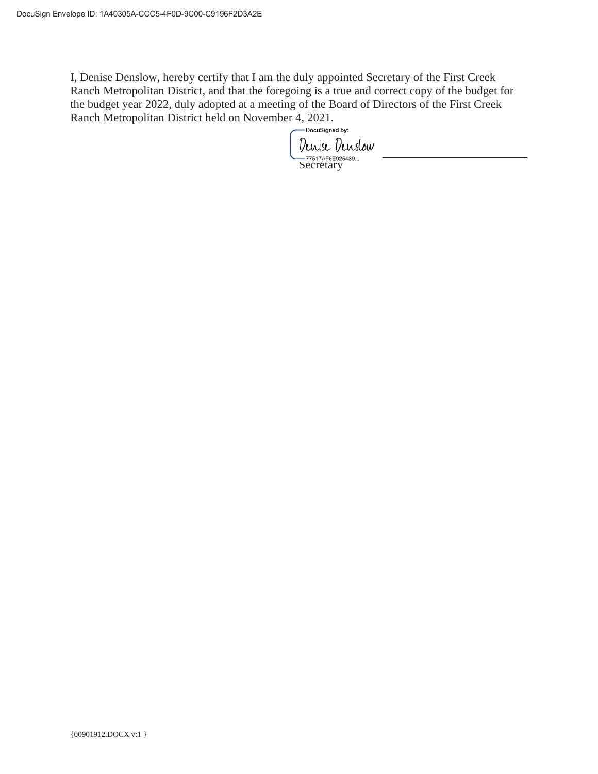I, Denise Denslow, hereby certify that I am the duly appointed Secretary of the First Creek Ranch Metropolitan District, and that the foregoing is a true and correct copy of the budget for the budget year 2022, duly adopted at a meeting of the Board of Directors of the First Creek Ranch Metropolitan District held on November 4, 2021.

Denise Denslow -<br>Secretary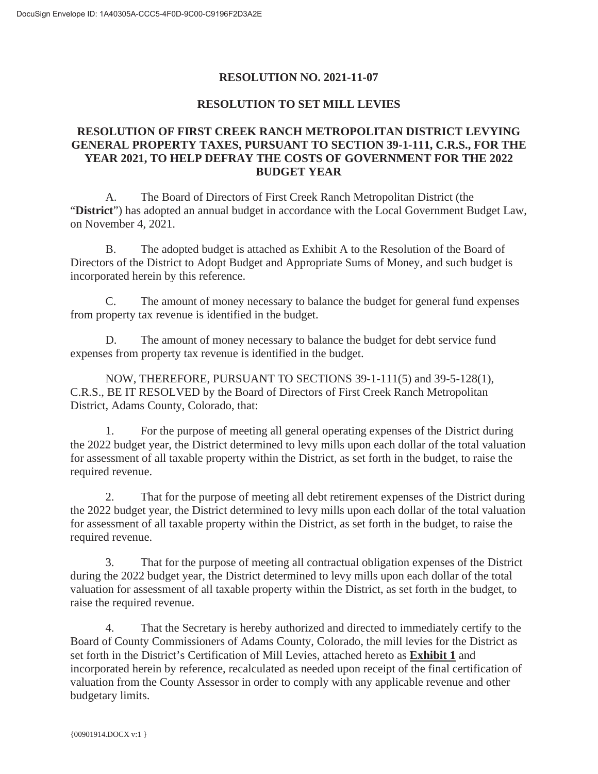## **RESOLUTION NO. 2021-11-07**

### **RESOLUTION TO SET MILL LEVIES**

## **RESOLUTION OF FIRST CREEK RANCH METROPOLITAN DISTRICT LEVYING GENERAL PROPERTY TAXES, PURSUANT TO SECTION 39-1-111, C.R.S., FOR THE YEAR 2021, TO HELP DEFRAY THE COSTS OF GOVERNMENT FOR THE 2022 BUDGET YEAR**

A. The Board of Directors of First Creek Ranch Metropolitan District (the "**District**") has adopted an annual budget in accordance with the Local Government Budget Law, on November 4, 2021.

B. The adopted budget is attached as Exhibit A to the Resolution of the Board of Directors of the District to Adopt Budget and Appropriate Sums of Money, and such budget is incorporated herein by this reference.

C. The amount of money necessary to balance the budget for general fund expenses from property tax revenue is identified in the budget.

D. The amount of money necessary to balance the budget for debt service fund expenses from property tax revenue is identified in the budget.

NOW, THEREFORE, PURSUANT TO SECTIONS 39-1-111(5) and 39-5-128(1), C.R.S., BE IT RESOLVED by the Board of Directors of First Creek Ranch Metropolitan District, Adams County, Colorado, that:

1. For the purpose of meeting all general operating expenses of the District during the 2022 budget year, the District determined to levy mills upon each dollar of the total valuation for assessment of all taxable property within the District, as set forth in the budget, to raise the required revenue.

2. That for the purpose of meeting all debt retirement expenses of the District during the 2022 budget year, the District determined to levy mills upon each dollar of the total valuation for assessment of all taxable property within the District, as set forth in the budget, to raise the required revenue.

3. That for the purpose of meeting all contractual obligation expenses of the District during the 2022 budget year, the District determined to levy mills upon each dollar of the total valuation for assessment of all taxable property within the District, as set forth in the budget, to raise the required revenue.

4. That the Secretary is hereby authorized and directed to immediately certify to the Board of County Commissioners of Adams County, Colorado, the mill levies for the District as set forth in the District's Certification of Mill Levies, attached hereto as **Exhibit 1** and incorporated herein by reference, recalculated as needed upon receipt of the final certification of valuation from the County Assessor in order to comply with any applicable revenue and other budgetary limits.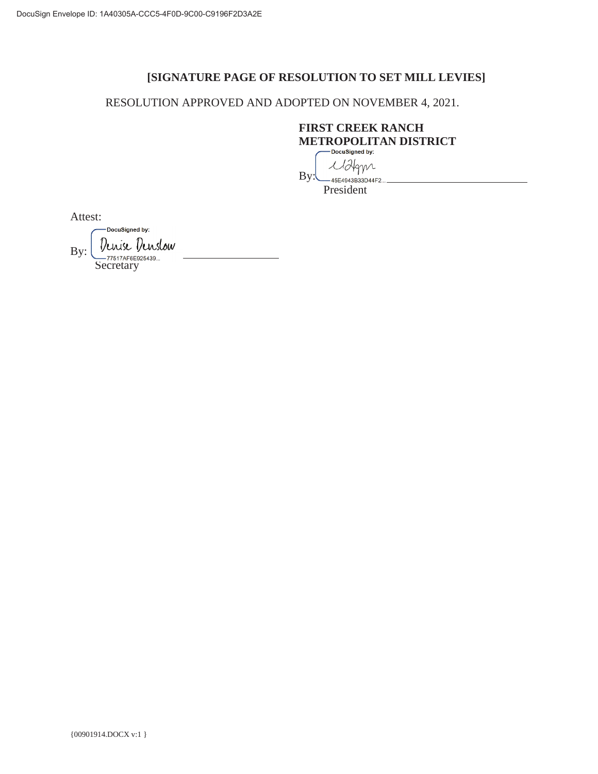## **[SIGNATURE PAGE OF RESOLUTION TO SET MILL LEVIES]**

RESOLUTION APPROVED AND ADOPTED ON NOVEMBER 4, 2021.

## **FIRST CREEK RANCH METROPOLITAN DISTRICT**

Malgyn By: 45E4943B33D44F2...

President

Attest:

DocuSigned by: Denise Denslow By: 77517AF6E925439...<br>Secretary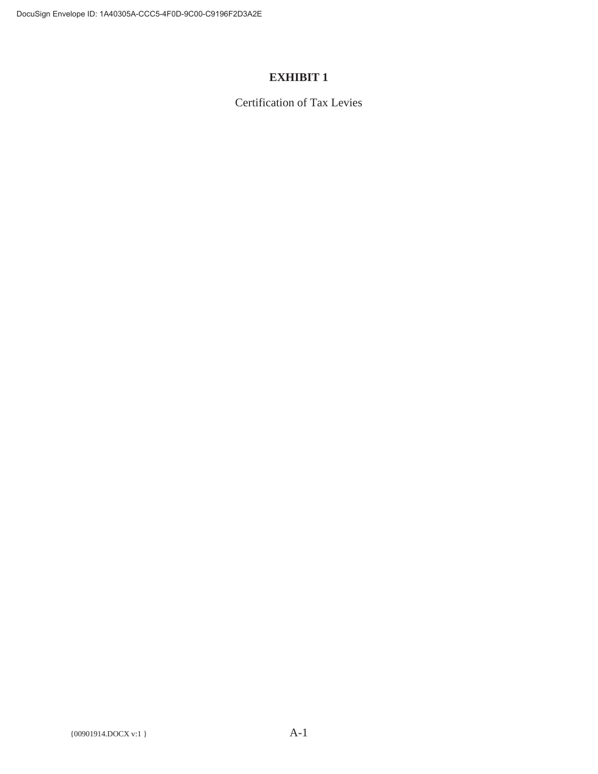## **EXHIBIT 1**

Certification of Tax Levies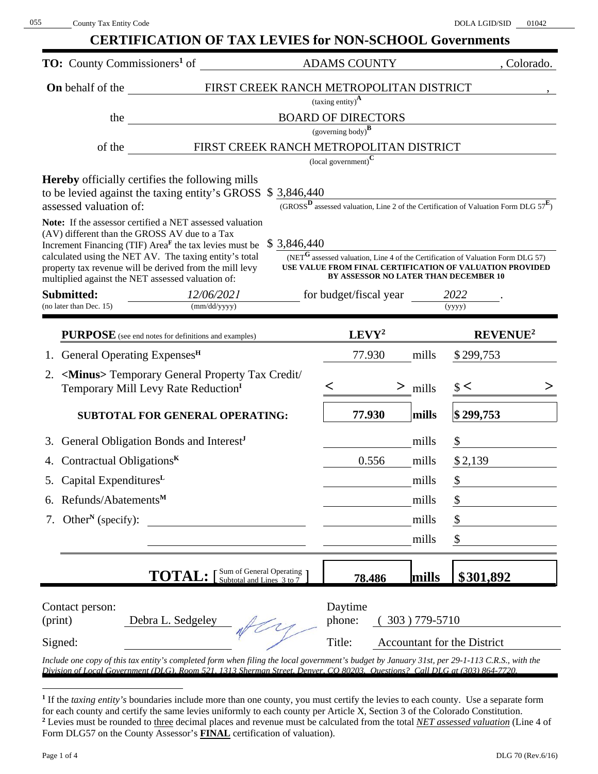|                                                                                                                                                                                                                                                                           |                                                                  |           | <b>CERTIFICATION OF TAX LEVIES for NON-SCHOOL Governments</b>                              |  |
|---------------------------------------------------------------------------------------------------------------------------------------------------------------------------------------------------------------------------------------------------------------------------|------------------------------------------------------------------|-----------|--------------------------------------------------------------------------------------------|--|
| <b>TO:</b> County Commissioners <sup>1</sup> of                                                                                                                                                                                                                           | <b>ADAMS COUNTY</b>                                              |           | , Colorado.                                                                                |  |
| FIRST CREEK RANCH METROPOLITAN DISTRICT<br><b>On</b> behalf of the                                                                                                                                                                                                        |                                                                  |           |                                                                                            |  |
|                                                                                                                                                                                                                                                                           | $\left(\text{taxing entity}\right)^{\mathbf{A}}$                 |           |                                                                                            |  |
| <b>BOARD OF DIRECTORS</b><br>the                                                                                                                                                                                                                                          | $(governing body)^{\mathbf{B}}$                                  |           |                                                                                            |  |
| FIRST CREEK RANCH METROPOLITAN DISTRICT<br>of the state of the state of the state of the state of the state of the state of the state of the state of the state of the state of the state of the state of the state of the state of the state of the state of the state o |                                                                  |           |                                                                                            |  |
|                                                                                                                                                                                                                                                                           | $\left($ local government) $^{\mathbf{C}}$                       |           |                                                                                            |  |
| <b>Hereby</b> officially certifies the following mills                                                                                                                                                                                                                    |                                                                  |           |                                                                                            |  |
| to be levied against the taxing entity's GROSS \$3,846,440<br>assessed valuation of:                                                                                                                                                                                      |                                                                  |           | $(GROSS^D)$ assessed valuation, Line 2 of the Certification of Valuation Form DLG $57^E$ ) |  |
| Note: If the assessor certified a NET assessed valuation                                                                                                                                                                                                                  |                                                                  |           |                                                                                            |  |
| (AV) different than the GROSS AV due to a Tax                                                                                                                                                                                                                             |                                                                  |           |                                                                                            |  |
| Increment Financing (TIF) Area <sup>F</sup> the tax levies must be $$3,846,440$<br>calculated using the NET AV. The taxing entity's total                                                                                                                                 |                                                                  |           | $(NETG$ assessed valuation, Line 4 of the Certification of Valuation Form DLG 57)          |  |
| property tax revenue will be derived from the mill levy<br>multiplied against the NET assessed valuation of:                                                                                                                                                              | BY ASSESSOR NO LATER THAN DECEMBER 10                            |           | USE VALUE FROM FINAL CERTIFICATION OF VALUATION PROVIDED                                   |  |
| Submitted:<br>12/06/2021                                                                                                                                                                                                                                                  | for budget/fiscal year                                           |           | 2022                                                                                       |  |
| (mm/dd/yyyy)<br>(no later than Dec. 15)                                                                                                                                                                                                                                   |                                                                  |           | (yyyy)                                                                                     |  |
| PURPOSE (see end notes for definitions and examples)                                                                                                                                                                                                                      | $LEVY^2$                                                         |           | <b>REVENUE<sup>2</sup></b>                                                                 |  |
| 1. General Operating Expenses <sup>H</sup>                                                                                                                                                                                                                                | 77.930                                                           | mills     | \$299,753                                                                                  |  |
| <minus> Temporary General Property Tax Credit/<br/>2.</minus>                                                                                                                                                                                                             |                                                                  |           |                                                                                            |  |
| Temporary Mill Levy Rate Reduction <sup>I</sup>                                                                                                                                                                                                                           |                                                                  | $>$ mills | $\frac{1}{2}$                                                                              |  |
| <b>SUBTOTAL FOR GENERAL OPERATING:</b>                                                                                                                                                                                                                                    | 77.930                                                           | mills     | $\frac{1}{2}$ 299,753                                                                      |  |
| General Obligation Bonds and Interest <sup>J</sup>                                                                                                                                                                                                                        |                                                                  | mills     | $\mathcal{S}$                                                                              |  |
| Contractual Obligations $K$<br>4.                                                                                                                                                                                                                                         | 0.556                                                            | mills     | \$2,139                                                                                    |  |
| Capital Expenditures <sup>L</sup><br>5.                                                                                                                                                                                                                                   |                                                                  | mills     | $\boldsymbol{\mathsf{\$}}$                                                                 |  |
| Refunds/Abatements <sup>M</sup><br>6.                                                                                                                                                                                                                                     |                                                                  | mills     | \$                                                                                         |  |
| Other <sup>N</sup> (specify):<br>7.                                                                                                                                                                                                                                       |                                                                  | mills     | \$                                                                                         |  |
|                                                                                                                                                                                                                                                                           |                                                                  | mills     | \$                                                                                         |  |
|                                                                                                                                                                                                                                                                           |                                                                  |           |                                                                                            |  |
| Sum of General Operating<br><b>TOTAL:</b><br>Subtotal and Lines 3 to 7                                                                                                                                                                                                    | 78.486                                                           | mills     | \$301,892                                                                                  |  |
|                                                                                                                                                                                                                                                                           |                                                                  |           |                                                                                            |  |
| Contact person:                                                                                                                                                                                                                                                           | Daytime                                                          |           |                                                                                            |  |
| Debra L. Sedgeley<br>(print)                                                                                                                                                                                                                                              | phone:<br>303) 779-5710<br>Title:<br>Accountant for the District |           |                                                                                            |  |
|                                                                                                                                                                                                                                                                           |                                                                  |           |                                                                                            |  |

**<sup>1</sup>** If the *taxing entity's* boundaries include more than one county, you must certify the levies to each county. Use a separate form for each county and certify the same levies uniformly to each county per Article X, Section 3 of the Colorado Constitution. **2** Levies must be rounded to three decimal places and revenue must be calculated from the total *NET assessed valuation* (Line 4 of Form DLG57 on the County Assessor's **FINAL** certification of valuation).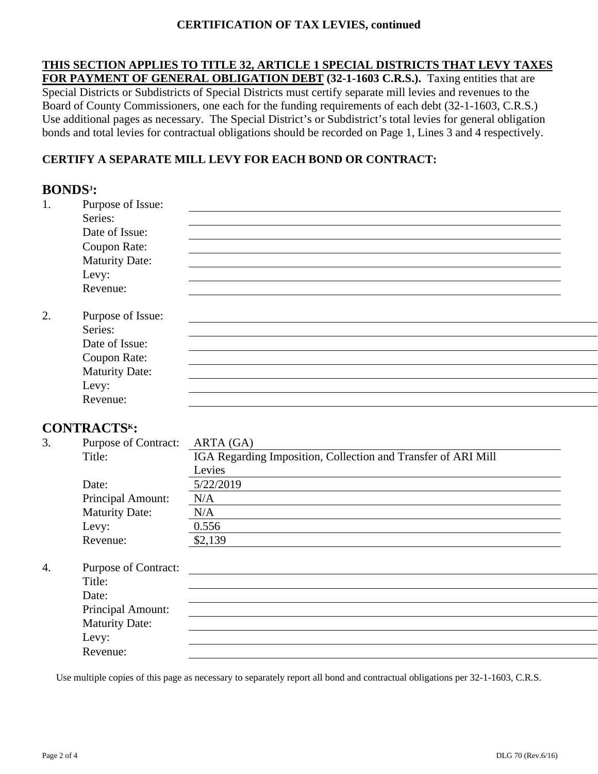## **CERTIFICATION OF TAX LEVIES, continued**

**THIS SECTION APPLIES TO TITLE 32, ARTICLE 1 SPECIAL DISTRICTS THAT LEVY TAXES FOR PAYMENT OF GENERAL OBLIGATION DEBT (32-1-1603 C.R.S.).** Taxing entities that are Special Districts or Subdistricts of Special Districts must certify separate mill levies and revenues to the Board of County Commissioners, one each for the funding requirements of each debt (32-1-1603, C.R.S.) Use additional pages as necessary. The Special District's or Subdistrict's total levies for general obligation bonds and total levies for contractual obligations should be recorded on Page 1, Lines 3 and 4 respectively.

## **CERTIFY A SEPARATE MILL LEVY FOR EACH BOND OR CONTRACT:**

## **BONDSJ :**  1. Purpose of Issue: Series: Date of Issue: Coupon Rate: Maturity Date: Levy: Revenue: 2. Purpose of Issue: Series: Date of Issue: Coupon Rate: Maturity Date: Levy: Revenue:

## **CONTRACTSK:**

|                  | <u>,</u>                    |                                                               |
|------------------|-----------------------------|---------------------------------------------------------------|
| 3.               | <b>Purpose of Contract:</b> | ARTA (GA)                                                     |
|                  | Title:                      | IGA Regarding Imposition, Collection and Transfer of ARI Mill |
|                  |                             | Levies                                                        |
|                  | Date:                       | 5/22/2019                                                     |
|                  | Principal Amount:           | N/A                                                           |
|                  | <b>Maturity Date:</b>       | N/A                                                           |
|                  | Levy:                       | 0.556                                                         |
|                  | Revenue:                    | \$2,139                                                       |
| $\overline{4}$ . | <b>Purpose of Contract:</b> |                                                               |
|                  | Title:                      |                                                               |
|                  |                             |                                                               |
|                  | Date:                       |                                                               |
|                  | Principal Amount:           |                                                               |
|                  | <b>Maturity Date:</b>       |                                                               |
|                  | Levy:                       |                                                               |
|                  | Revenue:                    |                                                               |

Use multiple copies of this page as necessary to separately report all bond and contractual obligations per 32-1-1603, C.R.S.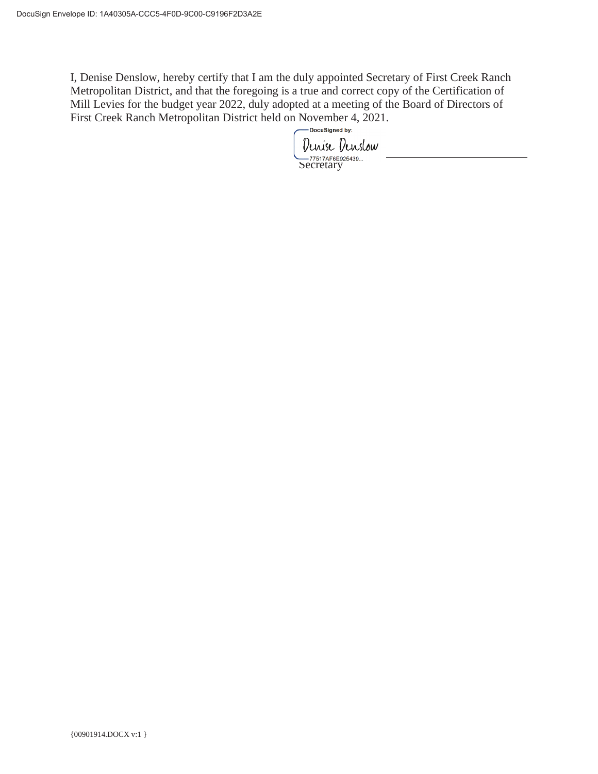I, Denise Denslow, hereby certify that I am the duly appointed Secretary of First Creek Ranch Metropolitan District, and that the foregoing is a true and correct copy of the Certification of Mill Levies for the budget year 2022, duly adopted at a meeting of the Board of Directors of First Creek Ranch Metropolitan District held on November 4, 2021.

Denise Denslow Secretary